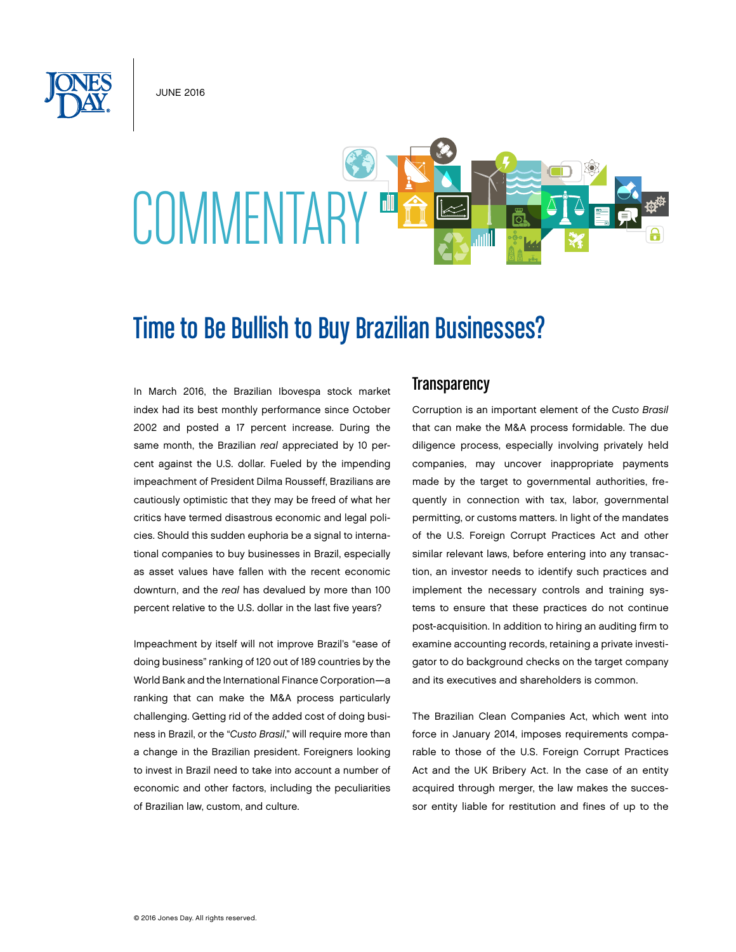June 2016

# COMMENTARY ED

# Time to Be Bullish to Buy Brazilian Businesses?

In March 2016, the Brazilian Ibovespa stock market index had its best monthly performance since October 2002 and posted a 17 percent increase. During the same month, the Brazilian *real* appreciated by 10 percent against the U.S. dollar. Fueled by the impending impeachment of President Dilma Rousseff, Brazilians are cautiously optimistic that they may be freed of what her critics have termed disastrous economic and legal policies. Should this sudden euphoria be a signal to international companies to buy businesses in Brazil, especially as asset values have fallen with the recent economic downturn, and the *real* has devalued by more than 100 percent relative to the U.S. dollar in the last five years?

Impeachment by itself will not improve Brazil's "ease of doing business" ranking of 120 out of 189 countries by the World Bank and the International Finance Corporation—a ranking that can make the M&A process particularly challenging. Getting rid of the added cost of doing business in Brazil, or the "*Custo Brasil*," will require more than a change in the Brazilian president. Foreigners looking to invest in Brazil need to take into account a number of economic and other factors, including the peculiarities of Brazilian law, custom, and culture.

### **Transparency**

Corruption is an important element of the *Custo Brasil* that can make the M&A process formidable. The due diligence process, especially involving privately held companies, may uncover inappropriate payments made by the target to governmental authorities, frequently in connection with tax, labor, governmental permitting, or customs matters. In light of the mandates of the U.S. Foreign Corrupt Practices Act and other similar relevant laws, before entering into any transaction, an investor needs to identify such practices and implement the necessary controls and training systems to ensure that these practices do not continue post-acquisition. In addition to hiring an auditing firm to examine accounting records, retaining a private investigator to do background checks on the target company and its executives and shareholders is common.

The Brazilian Clean Companies Act, which went into force in January 2014, imposes requirements comparable to those of the U.S. Foreign Corrupt Practices Act and the UK Bribery Act. In the case of an entity acquired through merger, the law makes the successor entity liable for restitution and fines of up to the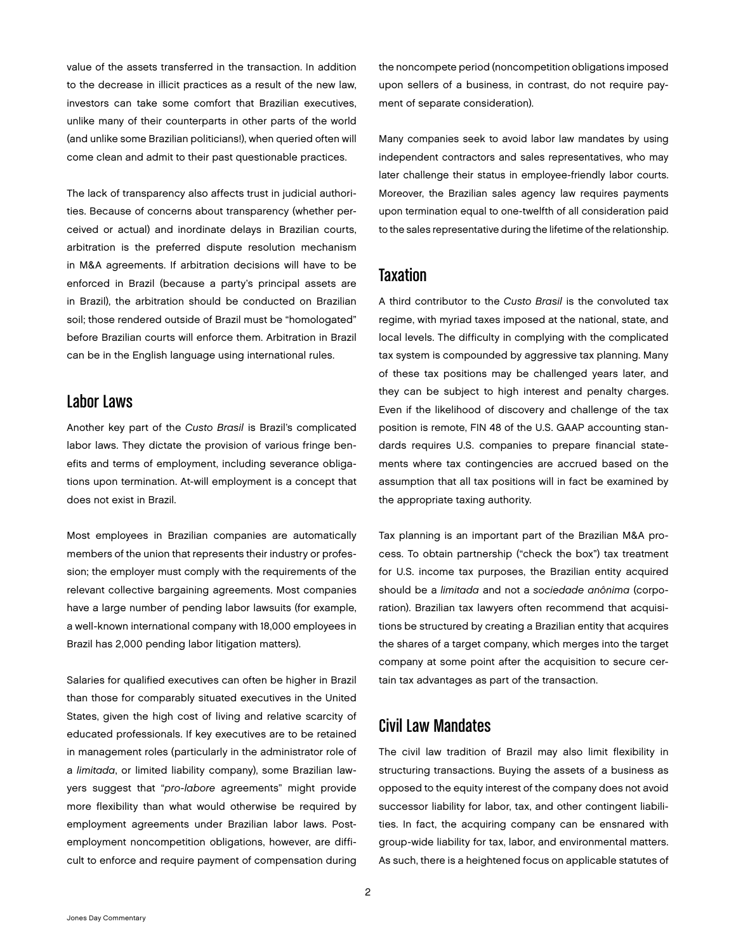value of the assets transferred in the transaction. In addition to the decrease in illicit practices as a result of the new law, investors can take some comfort that Brazilian executives, unlike many of their counterparts in other parts of the world (and unlike some Brazilian politicians!), when queried often will come clean and admit to their past questionable practices.

The lack of transparency also affects trust in judicial authorities. Because of concerns about transparency (whether perceived or actual) and inordinate delays in Brazilian courts, arbitration is the preferred dispute resolution mechanism in M&A agreements. If arbitration decisions will have to be enforced in Brazil (because a party's principal assets are in Brazil), the arbitration should be conducted on Brazilian soil; those rendered outside of Brazil must be "homologated" before Brazilian courts will enforce them. Arbitration in Brazil can be in the English language using international rules.

### Labor Laws

Another key part of the *Custo Brasil* is Brazil's complicated labor laws. They dictate the provision of various fringe benefits and terms of employment, including severance obligations upon termination. At-will employment is a concept that does not exist in Brazil.

Most employees in Brazilian companies are automatically members of the union that represents their industry or profession; the employer must comply with the requirements of the relevant collective bargaining agreements. Most companies have a large number of pending labor lawsuits (for example, a well-known international company with 18,000 employees in Brazil has 2,000 pending labor litigation matters).

Salaries for qualified executives can often be higher in Brazil than those for comparably situated executives in the United States, given the high cost of living and relative scarcity of educated professionals. If key executives are to be retained in management roles (particularly in the administrator role of a *limitada*, or limited liability company), some Brazilian lawyers suggest that "*pro-labore* agreements" might provide more flexibility than what would otherwise be required by employment agreements under Brazilian labor laws. Postemployment noncompetition obligations, however, are difficult to enforce and require payment of compensation during the noncompete period (noncompetition obligations imposed upon sellers of a business, in contrast, do not require payment of separate consideration).

Many companies seek to avoid labor law mandates by using independent contractors and sales representatives, who may later challenge their status in employee-friendly labor courts. Moreover, the Brazilian sales agency law requires payments upon termination equal to one-twelfth of all consideration paid to the sales representative during the lifetime of the relationship.

# **Taxation**

A third contributor to the *Custo Brasil* is the convoluted tax regime, with myriad taxes imposed at the national, state, and local levels. The difficulty in complying with the complicated tax system is compounded by aggressive tax planning. Many of these tax positions may be challenged years later, and they can be subject to high interest and penalty charges. Even if the likelihood of discovery and challenge of the tax position is remote, FIN 48 of the U.S. GAAP accounting standards requires U.S. companies to prepare financial statements where tax contingencies are accrued based on the assumption that all tax positions will in fact be examined by the appropriate taxing authority.

Tax planning is an important part of the Brazilian M&A process. To obtain partnership ("check the box") tax treatment for U.S. income tax purposes, the Brazilian entity acquired should be a *limitada* and not a *sociedade anônima* (corporation). Brazilian tax lawyers often recommend that acquisitions be structured by creating a Brazilian entity that acquires the shares of a target company, which merges into the target company at some point after the acquisition to secure certain tax advantages as part of the transaction.

# Civil Law Mandates

The civil law tradition of Brazil may also limit flexibility in structuring transactions. Buying the assets of a business as opposed to the equity interest of the company does not avoid successor liability for labor, tax, and other contingent liabilities. In fact, the acquiring company can be ensnared with group-wide liability for tax, labor, and environmental matters. As such, there is a heightened focus on applicable statutes of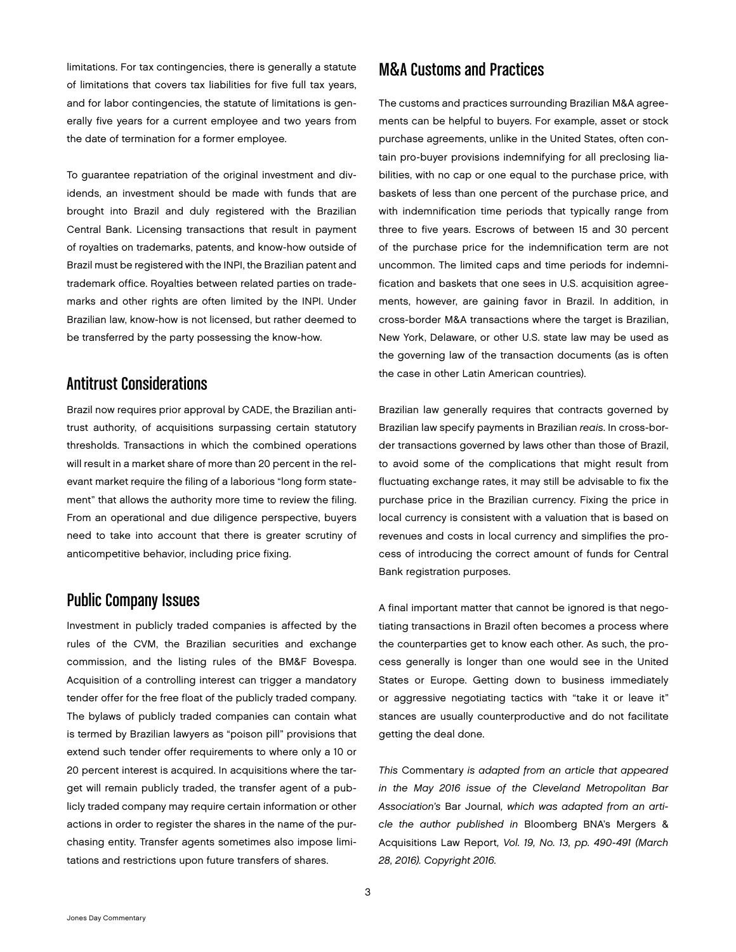limitations. For tax contingencies, there is generally a statute of limitations that covers tax liabilities for five full tax years, and for labor contingencies, the statute of limitations is generally five years for a current employee and two years from the date of termination for a former employee.

To guarantee repatriation of the original investment and dividends, an investment should be made with funds that are brought into Brazil and duly registered with the Brazilian Central Bank. Licensing transactions that result in payment of royalties on trademarks, patents, and know-how outside of Brazil must be registered with the INPI, the Brazilian patent and trademark office. Royalties between related parties on trademarks and other rights are often limited by the INPI. Under Brazilian law, know-how is not licensed, but rather deemed to be transferred by the party possessing the know-how.

### Antitrust Considerations

Brazil now requires prior approval by CADE, the Brazilian antitrust authority, of acquisitions surpassing certain statutory thresholds. Transactions in which the combined operations will result in a market share of more than 20 percent in the relevant market require the filing of a laborious "long form statement" that allows the authority more time to review the filing. From an operational and due diligence perspective, buyers need to take into account that there is greater scrutiny of anticompetitive behavior, including price fixing.

# Public Company Issues

Investment in publicly traded companies is affected by the rules of the CVM, the Brazilian securities and exchange commission, and the listing rules of the BM&F Bovespa. Acquisition of a controlling interest can trigger a mandatory tender offer for the free float of the publicly traded company. The bylaws of publicly traded companies can contain what is termed by Brazilian lawyers as "poison pill" provisions that extend such tender offer requirements to where only a 10 or 20 percent interest is acquired. In acquisitions where the target will remain publicly traded, the transfer agent of a publicly traded company may require certain information or other actions in order to register the shares in the name of the purchasing entity. Transfer agents sometimes also impose limitations and restrictions upon future transfers of shares.

### M&A Customs and Practices

The customs and practices surrounding Brazilian M&A agreements can be helpful to buyers. For example, asset or stock purchase agreements, unlike in the United States, often contain pro-buyer provisions indemnifying for all preclosing liabilities, with no cap or one equal to the purchase price, with baskets of less than one percent of the purchase price, and with indemnification time periods that typically range from three to five years. Escrows of between 15 and 30 percent of the purchase price for the indemnification term are not uncommon. The limited caps and time periods for indemnification and baskets that one sees in U.S. acquisition agreements, however, are gaining favor in Brazil. In addition, in cross-border M&A transactions where the target is Brazilian, New York, Delaware, or other U.S. state law may be used as the governing law of the transaction documents (as is often the case in other Latin American countries).

Brazilian law generally requires that contracts governed by Brazilian law specify payments in Brazilian *reais*. In cross-border transactions governed by laws other than those of Brazil, to avoid some of the complications that might result from fluctuating exchange rates, it may still be advisable to fix the purchase price in the Brazilian currency. Fixing the price in local currency is consistent with a valuation that is based on revenues and costs in local currency and simplifies the process of introducing the correct amount of funds for Central Bank registration purposes.

A final important matter that cannot be ignored is that negotiating transactions in Brazil often becomes a process where the counterparties get to know each other. As such, the process generally is longer than one would see in the United States or Europe. Getting down to business immediately or aggressive negotiating tactics with "take it or leave it" stances are usually counterproductive and do not facilitate getting the deal done.

*This* Commentary *is adapted from an article that appeared in the May 2016 issue of the Cleveland Metropolitan Bar Association's* Bar Journal*, which was adapted from an article the author published in* Bloomberg BNA's Mergers & Acquisitions Law Report*, Vol. 19, No. 13, pp. 490-491 (March 28, 2016). Copyright 2016.*